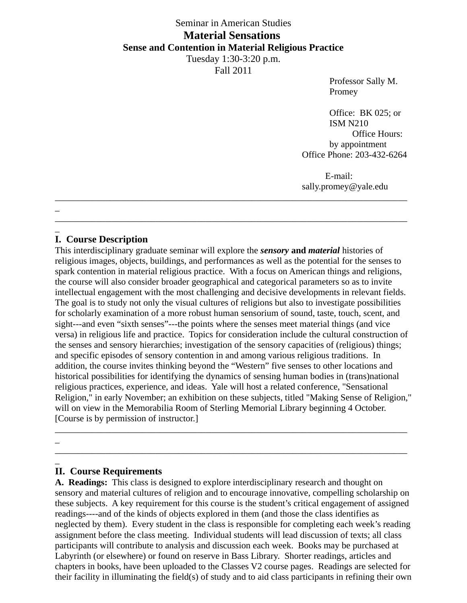# Seminar in American Studies **Material Sensations Sense and Contention in Material Religious Practice**

Tuesday 1:30-3:20 p.m. Fall 2011

\_\_\_\_\_\_\_\_\_\_\_\_\_\_\_\_\_\_\_\_\_\_\_\_\_\_\_\_\_\_\_\_\_\_\_\_\_\_\_\_\_\_\_\_\_\_\_\_\_\_\_\_\_\_\_\_\_\_\_\_\_\_\_\_\_\_\_\_\_\_\_\_\_\_\_\_\_

Professor Sally M. Promey

Office: BK 025; or ISM N210 Office Hours: by appointment Office Phone: 203-432-6264

E-mail: sally.promey@yale.edu

\_ \_\_\_\_\_\_\_\_\_\_\_\_\_\_\_\_\_\_\_\_\_\_\_\_\_\_\_\_\_\_\_\_\_\_\_\_\_\_\_\_\_\_\_\_\_\_\_\_\_\_\_\_\_\_\_\_\_\_\_\_\_\_\_\_\_\_\_\_\_\_\_\_\_\_\_\_\_

### $\overline{\phantom{a}}$ **I. Course Description**

This interdisciplinary graduate seminar will explore the *sensory* **and** *material* histories of religious images, objects, buildings, and performances as well as the potential for the senses to spark contention in material religious practice. With a focus on American things and religions, the course will also consider broader geographical and categorical parameters so as to invite intellectual engagement with the most challenging and decisive developments in relevant fields. The goal is to study not only the visual cultures of religions but also to investigate possibilities for scholarly examination of a more robust human sensorium of sound, taste, touch, scent, and sight---and even "sixth senses"---the points where the senses meet material things (and vice versa) in religious life and practice. Topics for consideration include the cultural construction of the senses and sensory hierarchies; investigation of the sensory capacities of (religious) things; and specific episodes of sensory contention in and among various religious traditions. In addition, the course invites thinking beyond the "Western" five senses to other locations and historical possibilities for identifying the dynamics of sensing human bodies in (trans)national religious practices, experience, and ideas. Yale will host a related conference, "Sensational Religion," in early November; an exhibition on these subjects, titled "Making Sense of Religion," will on view in the Memorabilia Room of Sterling Memorial Library beginning 4 October. [Course is by permission of instructor.]

\_\_\_\_\_\_\_\_\_\_\_\_\_\_\_\_\_\_\_\_\_\_\_\_\_\_\_\_\_\_\_\_\_\_\_\_\_\_\_\_\_\_\_\_\_\_\_\_\_\_\_\_\_\_\_\_\_\_\_\_\_\_\_\_\_\_\_\_\_\_\_\_\_\_\_\_\_

 $\overline{\phantom{a}}$ \_\_\_\_\_\_\_\_\_\_\_\_\_\_\_\_\_\_\_\_\_\_\_\_\_\_\_\_\_\_\_\_\_\_\_\_\_\_\_\_\_\_\_\_\_\_\_\_\_\_\_\_\_\_\_\_\_\_\_\_\_\_\_\_\_\_\_\_\_\_\_\_\_\_\_\_\_

#### \_ **II. Course Requirements**

**A. Readings:** This class is designed to explore interdisciplinary research and thought on sensory and material cultures of religion and to encourage innovative, compelling scholarship on these subjects. A key requirement for this course is the student's critical engagement of assigned readings----and of the kinds of objects explored in them (and those the class identifies as neglected by them). Every student in the class is responsible for completing each week's reading assignment before the class meeting. Individual students will lead discussion of texts; all class participants will contribute to analysis and discussion each week. Books may be purchased at Labyrinth (or elsewhere) or found on reserve in Bass Library. Shorter readings, articles and chapters in books, have been uploaded to the Classes V2 course pages. Readings are selected for their facility in illuminating the field(s) of study and to aid class participants in refining their own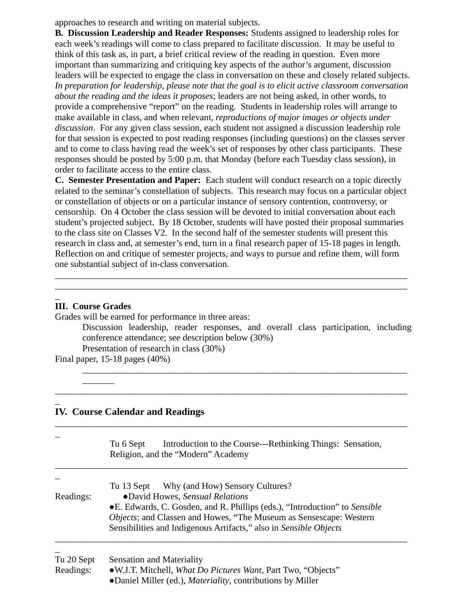approaches to research and writing on material subjects.

**B. Discussion Leadership and Reader Responses:** Students assigned to leadership roles for each week's readings will come to class prepared to facilitate discussion. It may be useful to think of this task as, in part, a brief critical review of the reading in question. Even more important than summarizing and critiquing key aspects of the author's argument, discussion leaders will be expected to engage the class in conversation on these and closely related subjects. *In preparation for leadership, please note that the goal is to elicit active classroom conversation about the reading and the ideas it proposes*; leaders are not being asked, in other words, to provide a comprehensive "report" on the reading. Students in leadership roles will arrange to make available in class, and when relevant, *reproductions of major images or objects under discussion*. For any given class session, each student not assigned a discussion leadership role for that session is expected to post reading responses (including questions) on the classes server and to come to class having read the week's set of responses by other class participants. These responses should be posted by 5:00 p.m. that Monday (before each Tuesday class session), in order to facilitate access to the entire class.

**C. Semester Presentation and Paper:** Each student will conduct research on a topic directly related to the seminar's constellation of subjects. This research may focus on a particular object or constellation of objects or on a particular instance of sensory contention, controversy, or censorship. On 4 October the class session will be devoted to initial conversation about each student's projected subject. By 18 October, students will have posted their proposal summaries to the class site on Classes V2. In the second half of the semester students will present this research in class and, at semester's end, turn in a final research paper of 15-18 pages in length. Reflection on and critique of semester projects, and ways to pursue and refine them, will form one substantial subject of in-class conversation.

\_\_\_\_\_\_\_\_\_\_\_\_\_\_\_\_\_\_\_\_\_\_\_\_\_\_\_\_\_\_\_\_\_\_\_\_\_\_\_\_\_\_\_\_\_\_\_\_\_\_\_\_\_\_\_\_\_\_\_\_\_\_\_\_\_\_\_\_\_\_\_\_\_\_\_\_\_ \_\_\_\_\_\_\_\_\_\_\_\_\_\_\_\_\_\_\_\_\_\_\_\_\_\_\_\_\_\_\_\_\_\_\_\_\_\_\_\_\_\_\_\_\_\_\_\_\_\_\_\_\_\_\_\_\_\_\_\_\_\_\_\_\_\_\_\_\_\_\_\_\_\_\_\_\_

#### $\overline{\phantom{a}}$ **III. Course Grades**

Grades will be earned for performance in three areas:

Discussion leadership, reader responses, and overall class participation, including conference attendance; see description below (30%) Presentation of research in class (30%)

\_\_\_\_\_\_\_\_\_\_\_\_\_\_\_\_\_\_\_\_\_\_\_\_\_\_\_\_\_\_\_\_\_\_\_\_\_\_\_\_\_\_\_\_\_\_\_\_\_\_\_\_\_\_\_\_\_\_\_\_\_\_\_\_\_\_\_\_\_\_\_

\_\_\_\_\_\_\_\_\_\_\_\_\_\_\_\_\_\_\_\_\_\_\_\_\_\_\_\_\_\_\_\_\_\_\_\_\_\_\_\_\_\_\_\_\_\_\_\_\_\_\_\_\_\_\_\_\_\_\_\_\_\_\_\_\_\_\_\_\_\_\_\_\_\_\_\_\_

Final paper, 15-18 pages (40%)

 $\overline{\phantom{a}}$ 

 $\overline{\phantom{a}}$ 

## **IV. Course Calendar and Readings**

|            | Introduction to the Course---Rethinking Things: Sensation,<br>Tu 6 Sept<br>Religion, and the "Modern" Academy |  |  |  |
|------------|---------------------------------------------------------------------------------------------------------------|--|--|--|
|            | Tu 13 Sept Why (and How) Sensory Cultures?                                                                    |  |  |  |
| Readings:  | •David Howes, Sensual Relations                                                                               |  |  |  |
|            | • E. Edwards, C. Gosden, and R. Phillips (eds.), "Introduction" to Sensible                                   |  |  |  |
|            | Objects; and Classen and Howes, "The Museum as Sensescape: Western                                            |  |  |  |
|            | Sensibilities and Indigenous Artifacts," also in Sensible Objects                                             |  |  |  |
| Tu 20 Sept | <b>Sensation and Materiality</b>                                                                              |  |  |  |
| Readings:  | •W.J.T. Mitchell, What Do Pictures Want, Part Two, "Objects"                                                  |  |  |  |

●Daniel Miller (ed.), *Materiality*, contributions by Miller